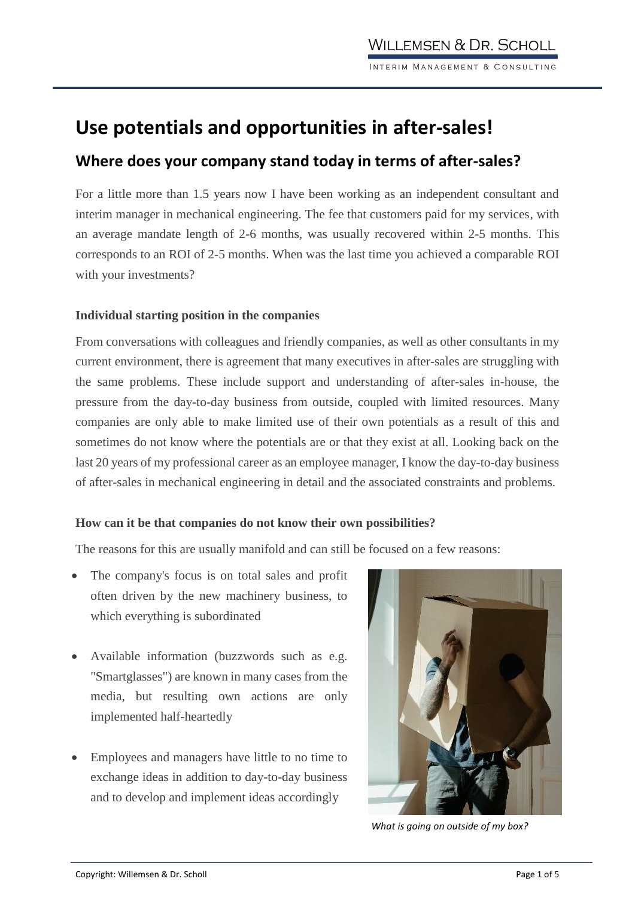# **Use potentials and opportunities in after-sales!**

## **Where does your company stand today in terms of after-sales?**

For a little more than 1.5 years now I have been working as an independent consultant and interim manager in mechanical engineering. The fee that customers paid for my services, with an average mandate length of 2-6 months, was usually recovered within 2-5 months. This corresponds to an ROI of 2-5 months. When was the last time you achieved a comparable ROI with your investments?

### **Individual starting position in the companies**

From conversations with colleagues and friendly companies, as well as other consultants in my current environment, there is agreement that many executives in after-sales are struggling with the same problems. These include support and understanding of after-sales in-house, the pressure from the day-to-day business from outside, coupled with limited resources. Many companies are only able to make limited use of their own potentials as a result of this and sometimes do not know where the potentials are or that they exist at all. Looking back on the last 20 years of my professional career as an employee manager, I know the day-to-day business of after-sales in mechanical engineering in detail and the associated constraints and problems.

### **How can it be that companies do not know their own possibilities?**

The reasons for this are usually manifold and can still be focused on a few reasons:

- The company's focus is on total sales and profit often driven by the new machinery business, to which everything is subordinated
- Available information (buzzwords such as e.g. "Smartglasses") are known in many cases from the media, but resulting own actions are only implemented half-heartedly
- Employees and managers have little to no time to exchange ideas in addition to day-to-day business and to develop and implement ideas accordingly



*What is going on outside of my box?*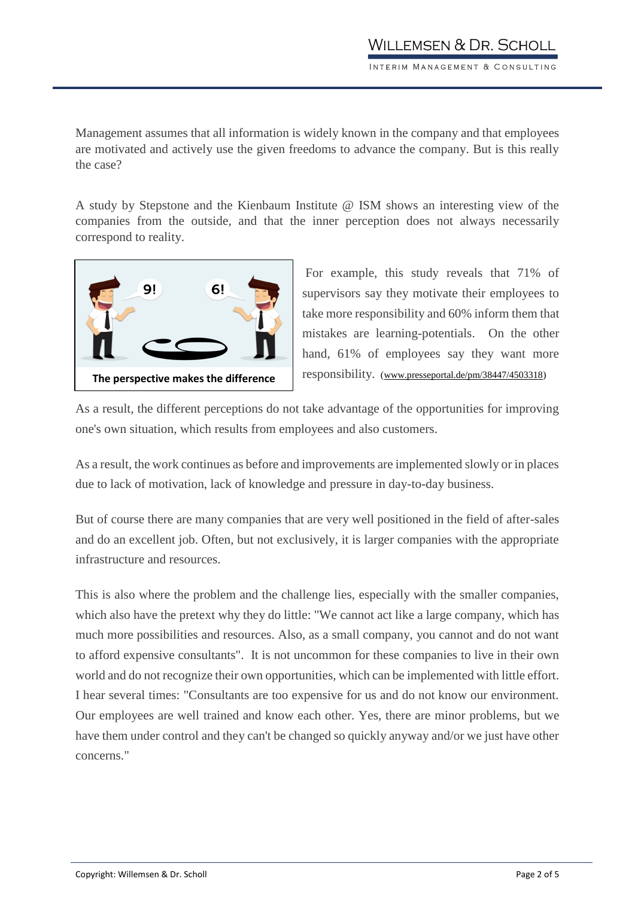Management assumes that all information is widely known in the company and that employees are motivated and actively use the given freedoms to advance the company. But is this really the case?

A study by Stepstone and the Kienbaum Institute @ ISM shows an interesting view of the companies from the outside, and that the inner perception does not always necessarily correspond to reality.



For example, this study reveals that 71% of supervisors say they motivate their employees to take more responsibility and 60% inform them that mistakes are learning-potentials. On the other hand, 61% of employees say they want more responsibility. [\(www.presseportal.de/pm/38447/4503318\)](http://www.presseportal.de/pm/38447/4503318)

As a result, the different perceptions do not take advantage of the opportunities for improving one's own situation, which results from employees and also customers.

As a result, the work continues as before and improvements are implemented slowly or in places due to lack of motivation, lack of knowledge and pressure in day-to-day business.

But of course there are many companies that are very well positioned in the field of after-sales and do an excellent job. Often, but not exclusively, it is larger companies with the appropriate infrastructure and resources.

This is also where the problem and the challenge lies, especially with the smaller companies, which also have the pretext why they do little: "We cannot act like a large company, which has much more possibilities and resources. Also, as a small company, you cannot and do not want to afford expensive consultants". It is not uncommon for these companies to live in their own world and do not recognize their own opportunities, which can be implemented with little effort. I hear several times: "Consultants are too expensive for us and do not know our environment. Our employees are well trained and know each other. Yes, there are minor problems, but we have them under control and they can't be changed so quickly anyway and/or we just have other concerns."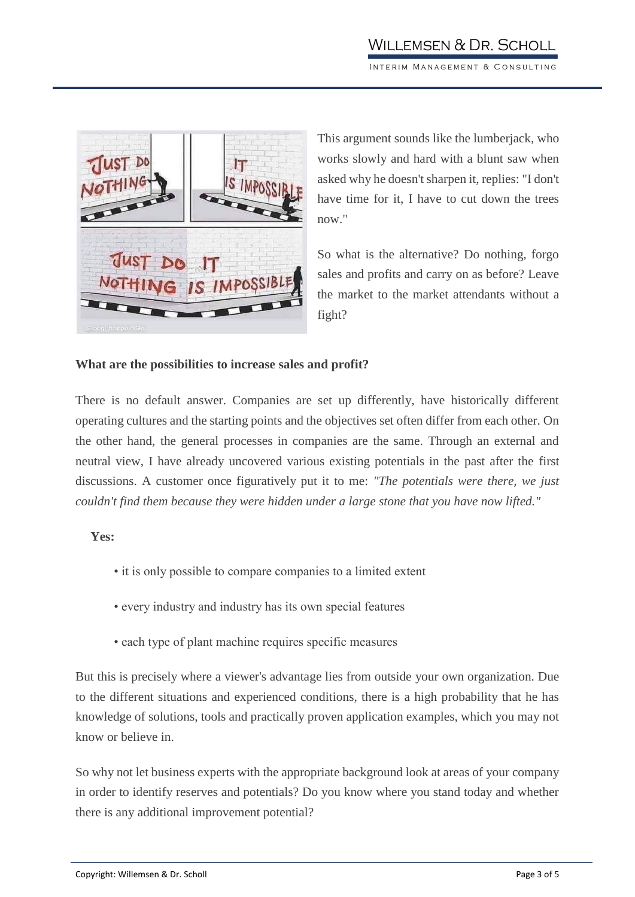

This argument sounds like the lumberjack, who works slowly and hard with a blunt saw when asked why he doesn't sharpen it, replies: "I don't have time for it, I have to cut down the trees now."

So what is the alternative? Do nothing, forgo sales and profits and carry on as before? Leave the market to the market attendants without a fight?

### **What are the possibilities to increase sales and profit?**

There is no default answer. Companies are set up differently, have historically different operating cultures and the starting points and the objectives set often differ from each other. On the other hand, the general processes in companies are the same. Through an external and neutral view, I have already uncovered various existing potentials in the past after the first discussions. A customer once figuratively put it to me: *"The potentials were there, we just couldn't find them because they were hidden under a large stone that you have now lifted."*

### **Yes:**

- it is only possible to compare companies to a limited extent
- every industry and industry has its own special features
- each type of plant machine requires specific measures

But this is precisely where a viewer's advantage lies from outside your own organization. Due to the different situations and experienced conditions, there is a high probability that he has knowledge of solutions, tools and practically proven application examples, which you may not know or believe in.

So why not let business experts with the appropriate background look at areas of your company in order to identify reserves and potentials? Do you know where you stand today and whether there is any additional improvement potential?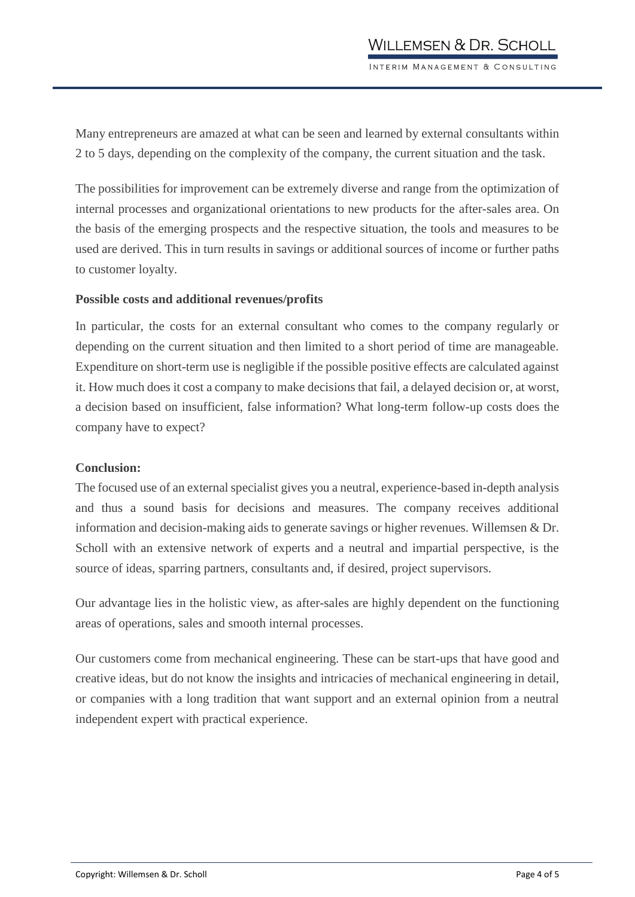Many entrepreneurs are amazed at what can be seen and learned by external consultants within 2 to 5 days, depending on the complexity of the company, the current situation and the task.

The possibilities for improvement can be extremely diverse and range from the optimization of internal processes and organizational orientations to new products for the after-sales area. On the basis of the emerging prospects and the respective situation, the tools and measures to be used are derived. This in turn results in savings or additional sources of income or further paths to customer loyalty.

#### **Possible costs and additional revenues/profits**

In particular, the costs for an external consultant who comes to the company regularly or depending on the current situation and then limited to a short period of time are manageable. Expenditure on short-term use is negligible if the possible positive effects are calculated against it. How much does it cost a company to make decisions that fail, a delayed decision or, at worst, a decision based on insufficient, false information? What long-term follow-up costs does the company have to expect?

#### **Conclusion:**

The focused use of an external specialist gives you a neutral, experience-based in-depth analysis and thus a sound basis for decisions and measures. The company receives additional information and decision-making aids to generate savings or higher revenues. Willemsen & Dr. Scholl with an extensive network of experts and a neutral and impartial perspective, is the source of ideas, sparring partners, consultants and, if desired, project supervisors.

Our advantage lies in the holistic view, as after-sales are highly dependent on the functioning areas of operations, sales and smooth internal processes.

Our customers come from mechanical engineering. These can be start-ups that have good and creative ideas, but do not know the insights and intricacies of mechanical engineering in detail, or companies with a long tradition that want support and an external opinion from a neutral independent expert with practical experience.